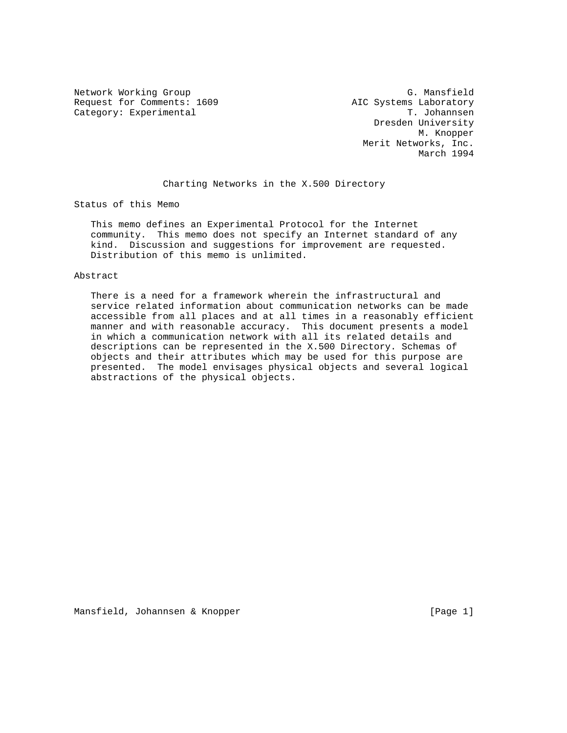Request for Comments: 1609 <br>
Category: Experimental T. Johannsen Category: Experimental

Network Working Group G. Mansfield Dresden University M. Knopper Merit Networks, Inc. March 1994

Charting Networks in the X.500 Directory

Status of this Memo

 This memo defines an Experimental Protocol for the Internet community. This memo does not specify an Internet standard of any kind. Discussion and suggestions for improvement are requested. Distribution of this memo is unlimited.

#### Abstract

 There is a need for a framework wherein the infrastructural and service related information about communication networks can be made accessible from all places and at all times in a reasonably efficient manner and with reasonable accuracy. This document presents a model in which a communication network with all its related details and descriptions can be represented in the X.500 Directory. Schemas of objects and their attributes which may be used for this purpose are presented. The model envisages physical objects and several logical abstractions of the physical objects.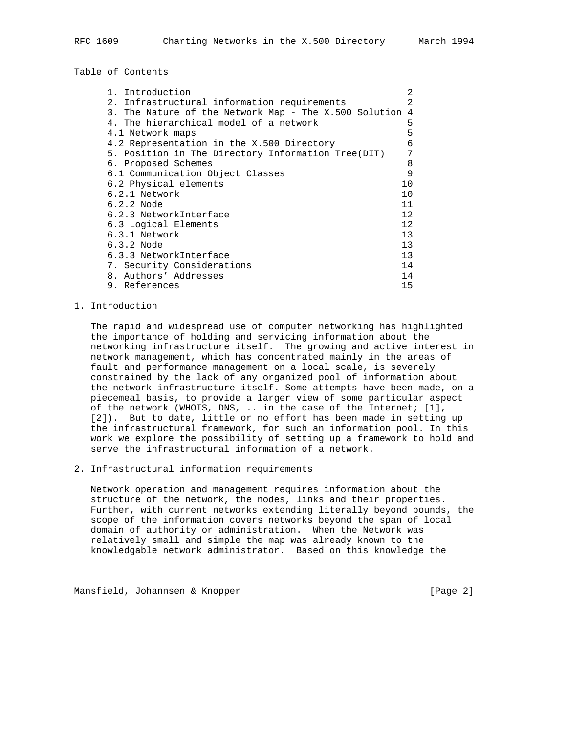Table of Contents

| 1. Introduction                                       | $\mathfrak{D}$ |
|-------------------------------------------------------|----------------|
| 2. Infrastructural information requirements           | 2              |
| 3. The Nature of the Network Map - The X.500 Solution | 4              |
| 4. The hierarchical model of a network                | 5              |
| 4.1 Network maps                                      | 5              |
| 4.2 Representation in the X.500 Directory             | 6              |
| 5. Position in The Directory Information Tree(DIT)    | 7              |
| 6. Proposed Schemes                                   | 8              |
| 6.1 Communication Object Classes                      | 9              |
| 6.2 Physical elements                                 | 10             |
| 6.2.1 Network                                         | 10             |
| $6.2.2$ Node                                          | 11             |
| 6.2.3 NetworkInterface                                | 12             |
| 6.3 Logical Elements                                  | 12             |
| 6.3.1 Network                                         | 13             |
| $6.3.2$ Node                                          | 13             |
| 6.3.3 NetworkInterface                                | 13             |
| 7. Security Considerations                            | 14             |
| 8. Authors' Addresses                                 | 14             |
| 9. References                                         | 15             |

#### 1. Introduction

 The rapid and widespread use of computer networking has highlighted the importance of holding and servicing information about the networking infrastructure itself. The growing and active interest in network management, which has concentrated mainly in the areas of fault and performance management on a local scale, is severely constrained by the lack of any organized pool of information about the network infrastructure itself. Some attempts have been made, on a piecemeal basis, to provide a larger view of some particular aspect of the network (WHOIS, DNS, .. in the case of the Internet; [1], [2]). But to date, little or no effort has been made in setting up the infrastructural framework, for such an information pool. In this work we explore the possibility of setting up a framework to hold and serve the infrastructural information of a network.

#### 2. Infrastructural information requirements

 Network operation and management requires information about the structure of the network, the nodes, links and their properties. Further, with current networks extending literally beyond bounds, the scope of the information covers networks beyond the span of local domain of authority or administration. When the Network was relatively small and simple the map was already known to the knowledgable network administrator. Based on this knowledge the

Mansfield, Johannsen & Knopper [Page 2]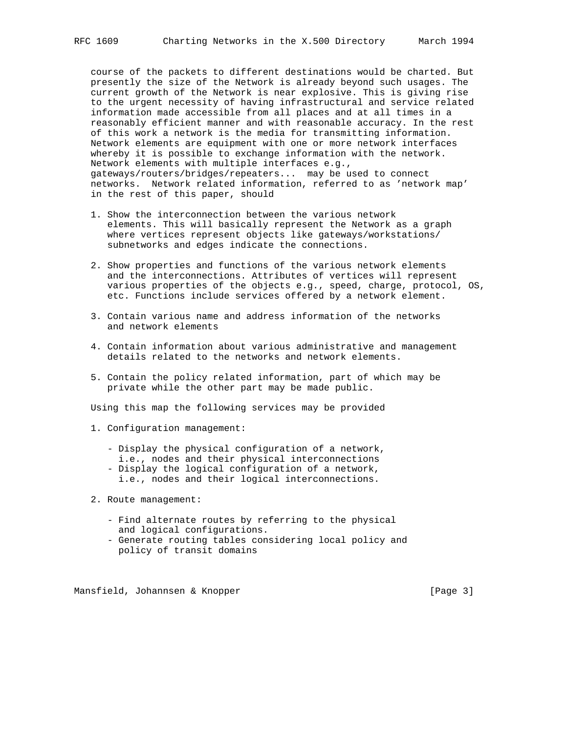course of the packets to different destinations would be charted. But presently the size of the Network is already beyond such usages. The current growth of the Network is near explosive. This is giving rise to the urgent necessity of having infrastructural and service related information made accessible from all places and at all times in a reasonably efficient manner and with reasonable accuracy. In the rest of this work a network is the media for transmitting information. Network elements are equipment with one or more network interfaces whereby it is possible to exchange information with the network. Network elements with multiple interfaces e.g., gateways/routers/bridges/repeaters... may be used to connect networks. Network related information, referred to as 'network map' in the rest of this paper, should

- 1. Show the interconnection between the various network elements. This will basically represent the Network as a graph where vertices represent objects like gateways/workstations/ subnetworks and edges indicate the connections.
- 2. Show properties and functions of the various network elements and the interconnections. Attributes of vertices will represent various properties of the objects e.g., speed, charge, protocol, OS, etc. Functions include services offered by a network element.
- 3. Contain various name and address information of the networks and network elements
- 4. Contain information about various administrative and management details related to the networks and network elements.
- 5. Contain the policy related information, part of which may be private while the other part may be made public.

Using this map the following services may be provided

- 1. Configuration management:
	- Display the physical configuration of a network,
	- i.e., nodes and their physical interconnections
	- Display the logical configuration of a network, i.e., nodes and their logical interconnections.
- 2. Route management:
	- Find alternate routes by referring to the physical and logical configurations.
	- Generate routing tables considering local policy and policy of transit domains

Mansfield, Johannsen & Knopper [Page 3]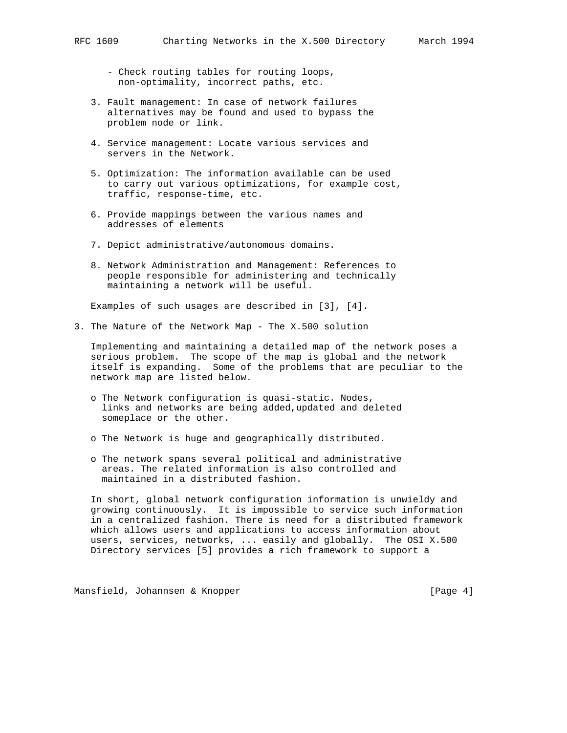- Check routing tables for routing loops, non-optimality, incorrect paths, etc.
- 3. Fault management: In case of network failures alternatives may be found and used to bypass the problem node or link.
- 4. Service management: Locate various services and servers in the Network.
- 5. Optimization: The information available can be used to carry out various optimizations, for example cost, traffic, response-time, etc.
- 6. Provide mappings between the various names and addresses of elements
- 7. Depict administrative/autonomous domains.
- 8. Network Administration and Management: References to people responsible for administering and technically maintaining a network will be useful.

Examples of such usages are described in [3], [4].

3. The Nature of the Network Map - The X.500 solution

 Implementing and maintaining a detailed map of the network poses a serious problem. The scope of the map is global and the network itself is expanding. Some of the problems that are peculiar to the network map are listed below.

- o The Network configuration is quasi-static. Nodes, links and networks are being added,updated and deleted someplace or the other.
- o The Network is huge and geographically distributed.
- o The network spans several political and administrative areas. The related information is also controlled and maintained in a distributed fashion.

 In short, global network configuration information is unwieldy and growing continuously. It is impossible to service such information in a centralized fashion. There is need for a distributed framework which allows users and applications to access information about users, services, networks, ... easily and globally. The OSI X.500 Directory services [5] provides a rich framework to support a

Mansfield, Johannsen & Knopper [Page 4]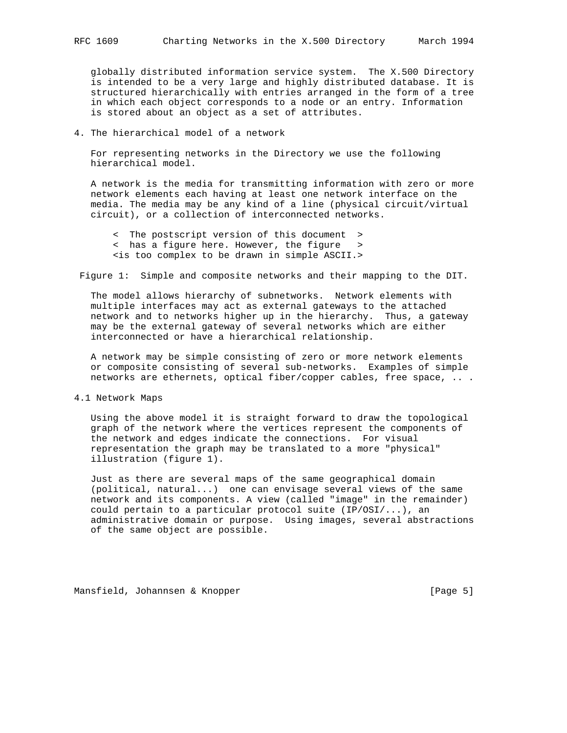globally distributed information service system. The X.500 Directory is intended to be a very large and highly distributed database. It is structured hierarchically with entries arranged in the form of a tree in which each object corresponds to a node or an entry. Information is stored about an object as a set of attributes.

## 4. The hierarchical model of a network

 For representing networks in the Directory we use the following hierarchical model.

 A network is the media for transmitting information with zero or more network elements each having at least one network interface on the media. The media may be any kind of a line (physical circuit/virtual circuit), or a collection of interconnected networks.

 < The postscript version of this document > < has a figure here. However, the figure > <is too complex to be drawn in simple ASCII.>

Figure 1: Simple and composite networks and their mapping to the DIT.

 The model allows hierarchy of subnetworks. Network elements with multiple interfaces may act as external gateways to the attached network and to networks higher up in the hierarchy. Thus, a gateway may be the external gateway of several networks which are either interconnected or have a hierarchical relationship.

 A network may be simple consisting of zero or more network elements or composite consisting of several sub-networks. Examples of simple networks are ethernets, optical fiber/copper cables, free space, .. .

4.1 Network Maps

 Using the above model it is straight forward to draw the topological graph of the network where the vertices represent the components of the network and edges indicate the connections. For visual representation the graph may be translated to a more "physical" illustration (figure 1).

 Just as there are several maps of the same geographical domain (political, natural...) one can envisage several views of the same network and its components. A view (called "image" in the remainder) could pertain to a particular protocol suite (IP/OSI/...), an administrative domain or purpose. Using images, several abstractions of the same object are possible.

Mansfield, Johannsen & Knopper [Page 5]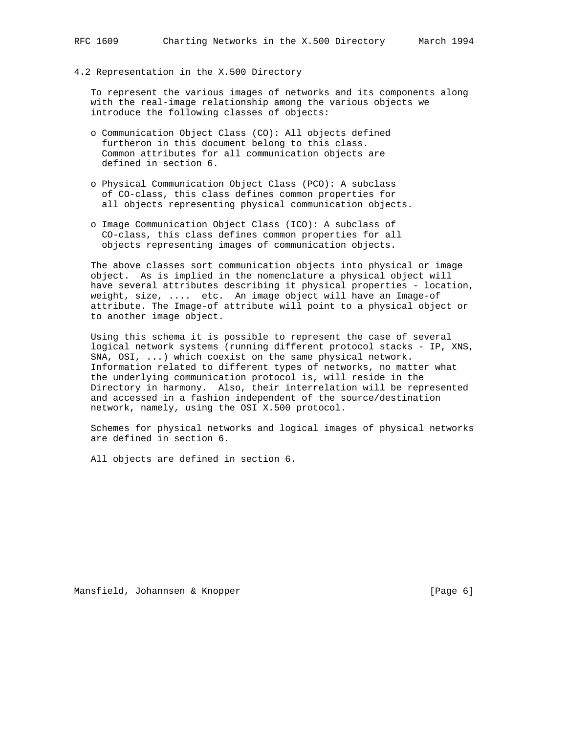4.2 Representation in the X.500 Directory

 To represent the various images of networks and its components along with the real-image relationship among the various objects we introduce the following classes of objects:

- o Communication Object Class (CO): All objects defined furtheron in this document belong to this class. Common attributes for all communication objects are defined in section 6.
- o Physical Communication Object Class (PCO): A subclass of CO-class, this class defines common properties for all objects representing physical communication objects.
- o Image Communication Object Class (ICO): A subclass of CO-class, this class defines common properties for all objects representing images of communication objects.

 The above classes sort communication objects into physical or image object. As is implied in the nomenclature a physical object will have several attributes describing it physical properties - location, weight, size, .... etc. An image object will have an Image-of attribute. The Image-of attribute will point to a physical object or to another image object.

 Using this schema it is possible to represent the case of several logical network systems (running different protocol stacks - IP, XNS, SNA, OSI, ...) which coexist on the same physical network. Information related to different types of networks, no matter what the underlying communication protocol is, will reside in the Directory in harmony. Also, their interrelation will be represented and accessed in a fashion independent of the source/destination network, namely, using the OSI X.500 protocol.

 Schemes for physical networks and logical images of physical networks are defined in section 6.

All objects are defined in section 6.

Mansfield, Johannsen & Knopper [Page 6]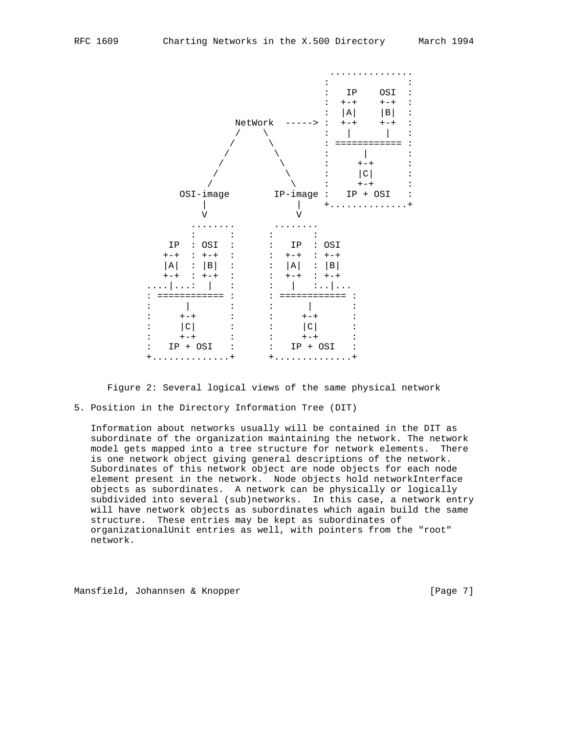

Figure 2: Several logical views of the same physical network

5. Position in the Directory Information Tree (DIT)

 Information about networks usually will be contained in the DIT as subordinate of the organization maintaining the network. The network model gets mapped into a tree structure for network elements. There is one network object giving general descriptions of the network. Subordinates of this network object are node objects for each node element present in the network. Node objects hold networkInterface objects as subordinates. A network can be physically or logically subdivided into several (sub)networks. In this case, a network entry will have network objects as subordinates which again build the same structure. These entries may be kept as subordinates of organizationalUnit entries as well, with pointers from the "root" network.

Mansfield, Johannsen & Knopper [Page 7]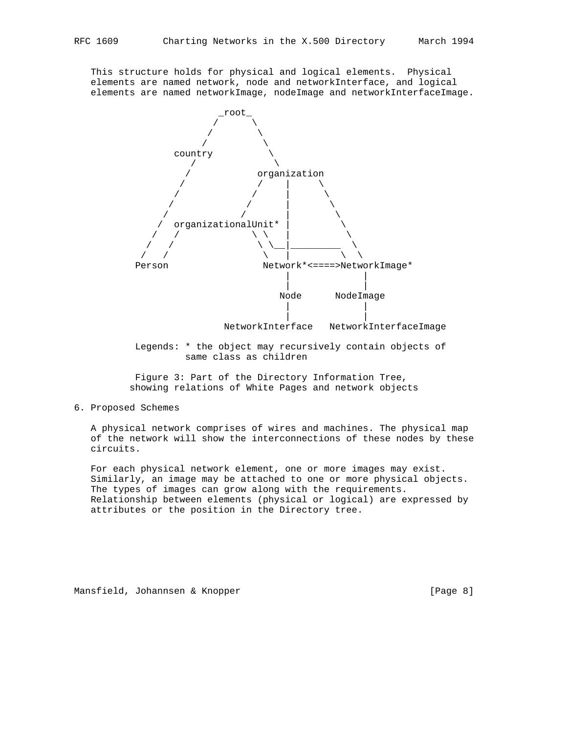This structure holds for physical and logical elements. Physical elements are named network, node and networkInterface, and logical elements are named networkImage, nodeImage and networkInterfaceImage.



 Legends: \* the object may recursively contain objects of same class as children

 Figure 3: Part of the Directory Information Tree, showing relations of White Pages and network objects

6. Proposed Schemes

 A physical network comprises of wires and machines. The physical map of the network will show the interconnections of these nodes by these circuits.

 For each physical network element, one or more images may exist. Similarly, an image may be attached to one or more physical objects. The types of images can grow along with the requirements. Relationship between elements (physical or logical) are expressed by attributes or the position in the Directory tree.

Mansfield, Johannsen & Knopper [Page 8]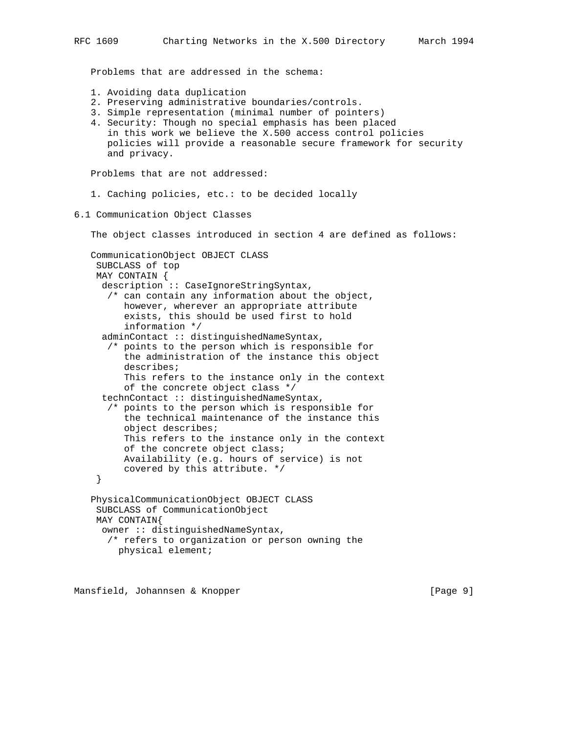Problems that are addressed in the schema: 1. Avoiding data duplication 2. Preserving administrative boundaries/controls. 3. Simple representation (minimal number of pointers) 4. Security: Though no special emphasis has been placed in this work we believe the X.500 access control policies policies will provide a reasonable secure framework for security and privacy. Problems that are not addressed: 1. Caching policies, etc.: to be decided locally 6.1 Communication Object Classes The object classes introduced in section 4 are defined as follows: CommunicationObject OBJECT CLASS SUBCLASS of top MAY CONTAIN { description :: CaseIgnoreStringSyntax, /\* can contain any information about the object, however, wherever an appropriate attribute exists, this should be used first to hold information \*/ adminContact :: distinguishedNameSyntax, /\* points to the person which is responsible for the administration of the instance this object describes; This refers to the instance only in the context of the concrete object class \*/ technContact :: distinguishedNameSyntax, /\* points to the person which is responsible for the technical maintenance of the instance this object describes; This refers to the instance only in the context of the concrete object class; Availability (e.g. hours of service) is not covered by this attribute. \*/ } PhysicalCommunicationObject OBJECT CLASS SUBCLASS of CommunicationObject MAY CONTAIN{ owner :: distinguishedNameSyntax, /\* refers to organization or person owning the physical element;

Mansfield, Johannsen & Knopper [Page 9]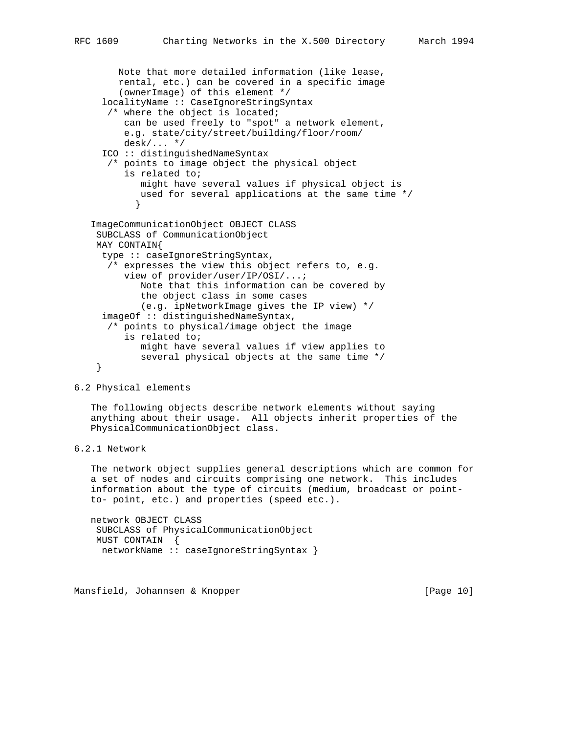```
 Note that more detailed information (like lease,
        rental, etc.) can be covered in a specific image
         (ownerImage) of this element */
      localityName :: CaseIgnoreStringSyntax
       /* where the object is located;
         can be used freely to "spot" a network element,
         e.g. state/city/street/building/floor/room/
         desk/... */
      ICO :: distinguishedNameSyntax
      /* points to image object the physical object
          is related to;
            might have several values if physical object is
            used for several applications at the same time */
 }
   ImageCommunicationObject OBJECT CLASS
    SUBCLASS of CommunicationObject
    MAY CONTAIN{
     type :: caseIgnoreStringSyntax,
       /* expresses the view this object refers to, e.g.
         view of provider/user/IP/OSI/...;
             Note that this information can be covered by
             the object class in some cases
             (e.g. ipNetworkImage gives the IP view) */
     imageOf :: distinguishedNameSyntax,
       /* points to physical/image object the image
          is related to;
             might have several values if view applies to
             several physical objects at the same time */
     }
```
6.2 Physical elements

 The following objects describe network elements without saying anything about their usage. All objects inherit properties of the PhysicalCommunicationObject class.

```
6.2.1 Network
```
 The network object supplies general descriptions which are common for a set of nodes and circuits comprising one network. This includes information about the type of circuits (medium, broadcast or point to- point, etc.) and properties (speed etc.).

 network OBJECT CLASS SUBCLASS of PhysicalCommunicationObject MUST CONTAIN { networkName :: caseIgnoreStringSyntax }

Mansfield, Johannsen & Knopper [Page 10]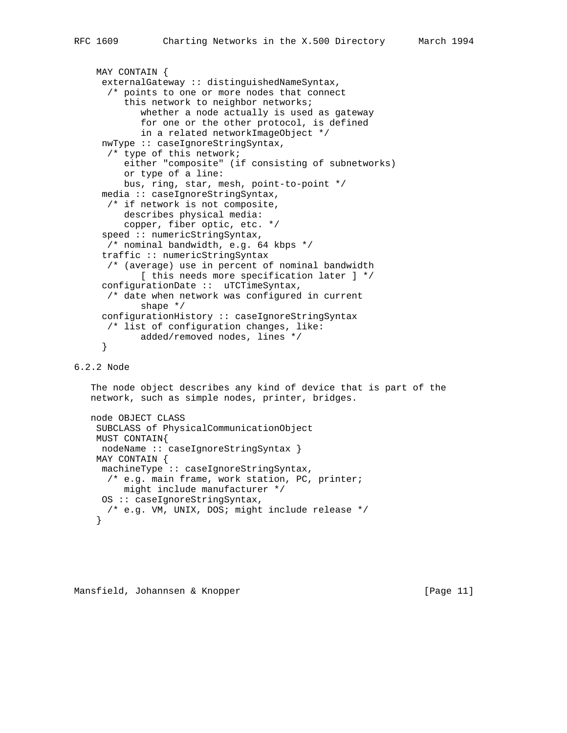```
 MAY CONTAIN {
      externalGateway :: distinguishedNameSyntax,
       /* points to one or more nodes that connect
          this network to neighbor networks;
             whether a node actually is used as gateway
             for one or the other protocol, is defined
             in a related networkImageObject */
      nwType :: caseIgnoreStringSyntax,
       /* type of this network;
          either "composite" (if consisting of subnetworks)
          or type of a line:
          bus, ring, star, mesh, point-to-point */
      media :: caseIgnoreStringSyntax,
       /* if network is not composite,
          describes physical media:
          copper, fiber optic, etc. */
     speed :: numericStringSyntax,
       /* nominal bandwidth, e.g. 64 kbps */
      traffic :: numericStringSyntax
       /* (average) use in percent of nominal bandwidth
             [ this needs more specification later ] */
      configurationDate :: uTCTimeSyntax,
       /* date when network was configured in current
             shape */
      configurationHistory :: caseIgnoreStringSyntax
       /* list of configuration changes, like:
             added/removed nodes, lines */
      }
6.2.2 Node
```
 The node object describes any kind of device that is part of the network, such as simple nodes, printer, bridges.

```
 node OBJECT CLASS
  SUBCLASS of PhysicalCommunicationObject
  MUST CONTAIN{
  nodeName :: caseIgnoreStringSyntax }
  MAY CONTAIN {
  machineType :: caseIgnoreStringSyntax,
    /* e.g. main frame, work station, PC, printer;
      might include manufacturer */
   OS :: caseIgnoreStringSyntax,
    /* e.g. VM, UNIX, DOS; might include release */
  }
```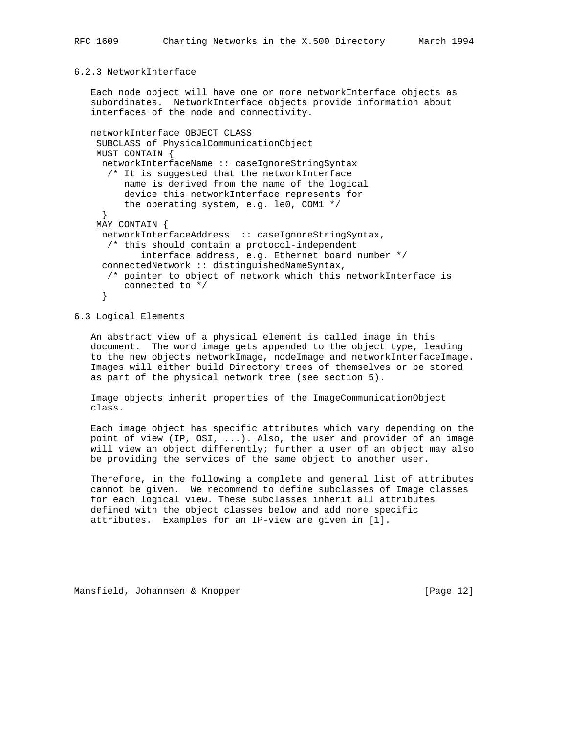### 6.2.3 NetworkInterface

 Each node object will have one or more networkInterface objects as subordinates. NetworkInterface objects provide information about interfaces of the node and connectivity.

```
 networkInterface OBJECT CLASS
  SUBCLASS of PhysicalCommunicationObject
  MUST CONTAIN {
  networkInterfaceName :: caseIgnoreStringSyntax
    /* It is suggested that the networkInterface
       name is derived from the name of the logical
       device this networkInterface represents for
       the operating system, e.g. le0, COM1 */
   }
  MAY CONTAIN {
  networkInterfaceAddress :: caseIgnoreStringSyntax,
   /* this should contain a protocol-independent
          interface address, e.g. Ethernet board number */
   connectedNetwork :: distinguishedNameSyntax,
    /* pointer to object of network which this networkInterface is
       connected to */
   }
```
6.3 Logical Elements

 An abstract view of a physical element is called image in this document. The word image gets appended to the object type, leading to the new objects networkImage, nodeImage and networkInterfaceImage. Images will either build Directory trees of themselves or be stored as part of the physical network tree (see section 5).

 Image objects inherit properties of the ImageCommunicationObject class.

 Each image object has specific attributes which vary depending on the point of view (IP, OSI, ...). Also, the user and provider of an image will view an object differently; further a user of an object may also be providing the services of the same object to another user.

 Therefore, in the following a complete and general list of attributes cannot be given. We recommend to define subclasses of Image classes for each logical view. These subclasses inherit all attributes defined with the object classes below and add more specific attributes. Examples for an IP-view are given in [1].

Mansfield, Johannsen & Knopper [Page 12]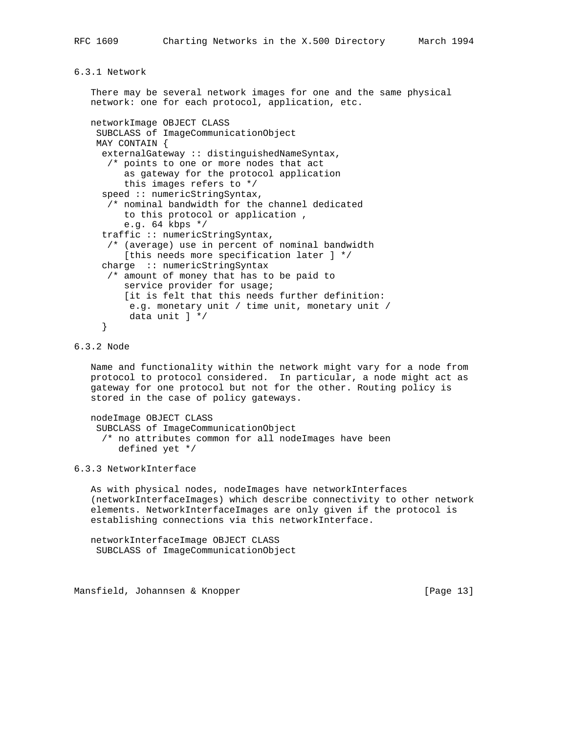# 6.3.1 Network

 There may be several network images for one and the same physical network: one for each protocol, application, etc. networkImage OBJECT CLASS SUBCLASS of ImageCommunicationObject MAY CONTAIN { externalGateway :: distinguishedNameSyntax, /\* points to one or more nodes that act as gateway for the protocol application this images refers to \*/ speed :: numericStringSyntax, /\* nominal bandwidth for the channel dedicated to this protocol or application , e.g. 64 kbps \*/ traffic :: numericStringSyntax, /\* (average) use in percent of nominal bandwidth [this needs more specification later ] \*/ charge :: numericStringSyntax /\* amount of money that has to be paid to service provider for usage; [it is felt that this needs further definition: e.g. monetary unit / time unit, monetary unit / data unit ] \*/ }

## 6.3.2 Node

 Name and functionality within the network might vary for a node from protocol to protocol considered. In particular, a node might act as gateway for one protocol but not for the other. Routing policy is stored in the case of policy gateways.

 nodeImage OBJECT CLASS SUBCLASS of ImageCommunicationObject /\* no attributes common for all nodeImages have been defined yet \*/

## 6.3.3 NetworkInterface

 As with physical nodes, nodeImages have networkInterfaces (networkInterfaceImages) which describe connectivity to other network elements. NetworkInterfaceImages are only given if the protocol is establishing connections via this networkInterface.

 networkInterfaceImage OBJECT CLASS SUBCLASS of ImageCommunicationObject

Mansfield, Johannsen & Knopper [Page 13]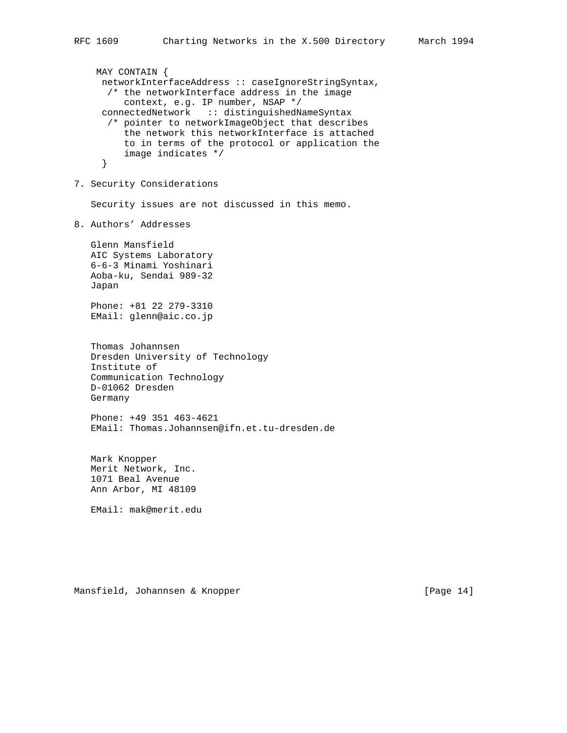MAY CONTAIN { networkInterfaceAddress :: caseIgnoreStringSyntax, /\* the networkInterface address in the image context, e.g. IP number, NSAP \*/ connectedNetwork :: distinguishedNameSyntax /\* pointer to networkImageObject that describes the network this networkInterface is attached to in terms of the protocol or application the image indicates \*/ } 7. Security Considerations Security issues are not discussed in this memo. 8. Authors' Addresses Glenn Mansfield AIC Systems Laboratory 6-6-3 Minami Yoshinari Aoba-ku, Sendai 989-32 Japan Phone: +81 22 279-3310 EMail: glenn@aic.co.jp Thomas Johannsen Dresden University of Technology Institute of Communication Technology D-01062 Dresden Germany Phone: +49 351 463-4621 EMail: Thomas.Johannsen@ifn.et.tu-dresden.de Mark Knopper Merit Network, Inc. 1071 Beal Avenue Ann Arbor, MI 48109 EMail: mak@merit.edu

Mansfield, Johannsen & Knopper [Page 14]